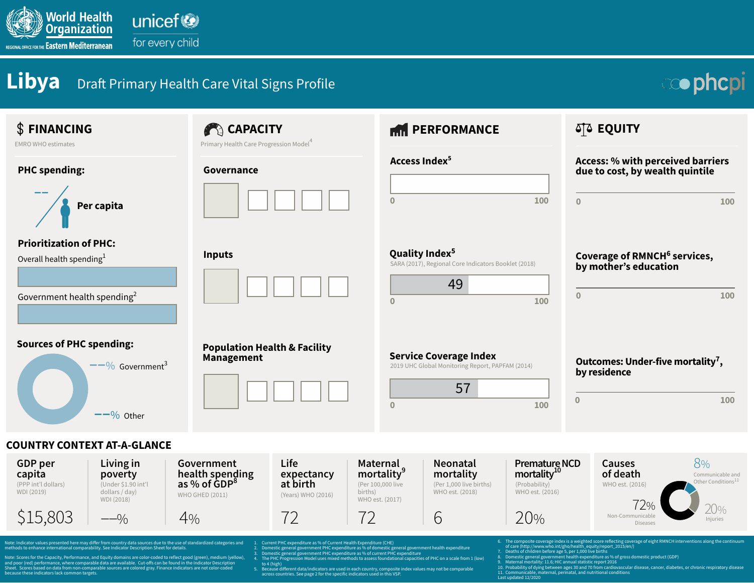

for every child

## **Libya** Draft Primary Health Care Vital Signs Profile

## **cophcpi**

## **Sources of PHC spending:** Government3 **––**%  $-$ <sup>-</sup>% Other **Neonatal mortality** (Per 1,000 live births) WHO est. (2018) **PHC spending: Prioritization of PHC:** Overall health spending $<sup>1</sup>$ </sup> **Population Health & Facility Management** Government health spending<sup>2</sup> **Service Coverage Index**<br>2019 UHC Global Monitoring Report, PAPFAM (2014) **CAPACITY PERFORMANCE AND ALSO ASSESSED ASSESSED AND ALSO AND ALSO AND ALSO AND ALSO AND ALSO AND ALSO AND ALSO AND ALSO AND ALSO AND ALSO AND ALSO AND ALSO AND ALSO AND ALSO AND ALSO AND ALSO AND ALSO AND ALSO AND ALS Governance EMRO WHO estimates EMRO WHO estimates EMRO WHO estimates EMA** EMBLE **Primary Health Care Progression Model<sup>4</sup> Inputs Coverage of RMNCH<sup>6</sup> services, Coverage of RMNCH<sup>6</sup> services, by mother's education Access: % with perceived barriers due to cost, by wealth quintile <sup>0</sup> <sup>100</sup> Per capita Outcomes: Under-five mortality<sup>7</sup>, by residence** SARA (2017), Regional Core Indicators Booklet (2018) **Access Index5 0 100 ––** 57 **FINANCING 0 100 0 100 Quality Index<sup>5</sup> 0 100** 49 Note: Indicator values presented here may differ from country data sources due to the use of standardized categories and<br>methods to enhance international comparability. See Indicator Description Sheet for details. Note: Scores for the Capacity, Performance, and Equity domains are color-coded to reflect good (green), medium (yellow), and poor (red) performance, where comparable data are available. Cut-offs can be found in the Indicator Description<br>Sheet. Scores based on data from non-comparable sources are colored gray. Finance indicators are not col .nt PHC expenditure as % of Current Health Exp 2. Domestic general government PHC expenditure as % of domestic general government health expenditure 3. Domestic general government PHC expenditure as % of current PHC expenditure The PHC Progression Model uses mixed methods to assess foundational capacities of PHC on a scale from 1 (low to 4 (high)  $\frac{1}{2}$ . Because different data/indicators are used in each country, composite index values may not be comparable The composite coverage index is a weighted score reflecting coverage of eight RMNCH interventions along the continuum of care (http://www.who.int/gho/health\_equity/report\_2015/en/)<br>7. Deaths of children before age 5, per 1,000 live births<br>8. Domestic general government health expenditure as % of gross domestic product (GDP)<br>9. Maternal mo **COUNTRY CONTEXT AT-A-GLANCE GDP per capita Living in poverty** (PPP int'l dollars) WHO GHED (2011) (Under \$1.90 int'l dollars / day) WDI (2018) **Government health spending as % of GDP8 Life expectancy at birth** (Years) WHO (2016) **Premature NCD**  mortality<sup>10</sup> (Probability) WHO est. (2016) WHO est. (2016) **Causes of death Maternal mortality9** (Per 100,000 live births) WHO est. (2017) **0 100** \$15,803 ––% 4% 72 72 6 20% 8% 20% Communicable and Other Conditions $^{11}$ Injuries 72% Non-Communicable Diseases

across countries. See page 2 for the specific indicators used in this VSP.

Last updated 12/2020